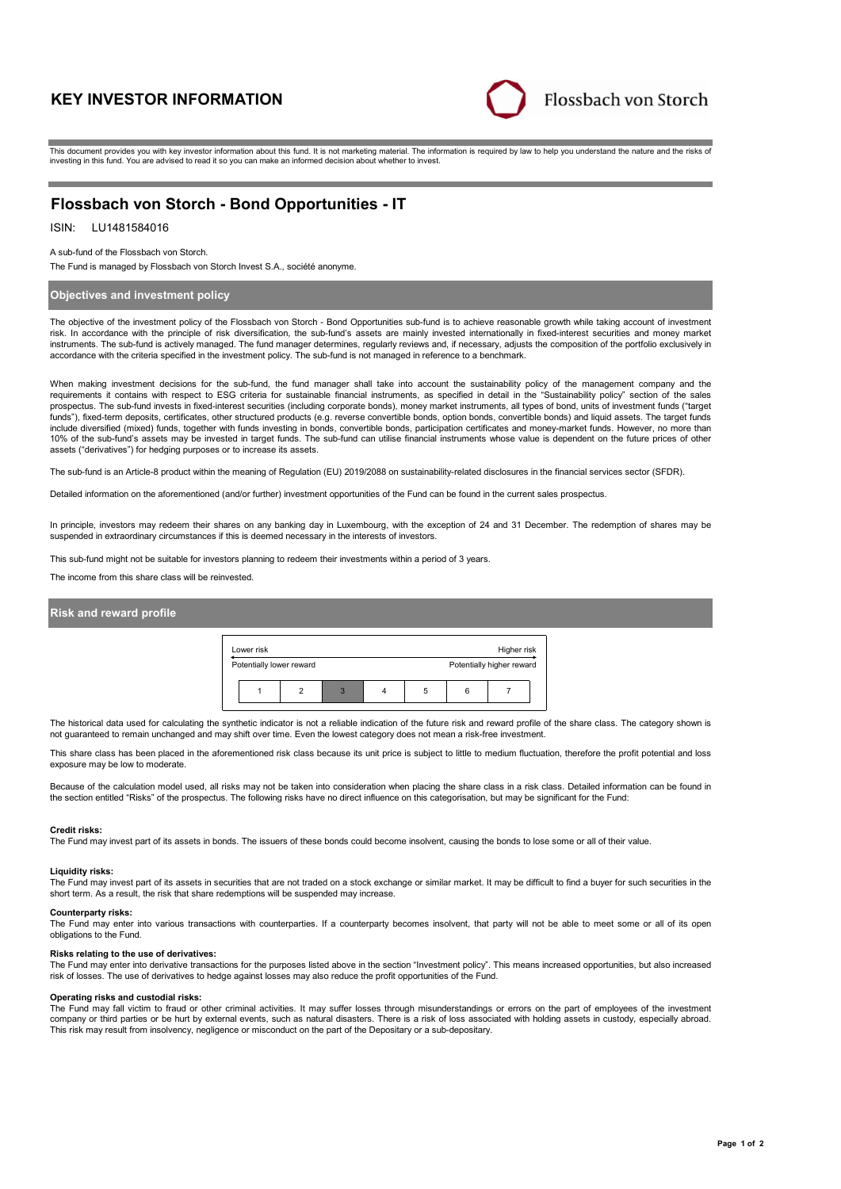# **KEY INVESTOR INFORMATION**



This document provides you with key investor information about this fund. It is not marketing material. The information is required by law to help you understand the nature and the risks of investing in this fund. You are advised to read it so you can make an informed decision about whether to invest.

# **Flossbach von Storch - Bond Opportunities - IT**

# ISIN: LU1481584016

A sub-fund of the Flossbach von Storch.

The Fund is managed by Flossbach von Storch Invest S.A., société anonyme.

# **Objectives and investment policy**

The objective of the investment policy of the Flossbach von Storch - Bond Opportunities sub-fund is to achieve reasonable growth while taking account of investment risk. In accordance with the principle of risk diversification, the sub-fund's assets are mainly invested internationally in fixed-interest securities and money market instruments. The sub-fund is actively managed. The fund manager determines, regularly reviews and, if necessary, adjusts the composition of the portfolio exclusively in accordance with the criteria specified in the investment policy. The sub-fund is not managed in reference to a benchmark.

When making investment decisions for the sub-fund, the fund manager shall take into account the sustainability policy of the management company and the requirements it contains with respect to ESG criteria for sustainable financial instruments, as specified in detail in the "Sustainability policy" section of the sales prospectus. The sub-fund invests in fixed-interest securities (including corporate bonds), money market instruments, all types of bond, units of investment funds ("target funds"), fixed-term deposits, certificates, other structured products (e.g. reverse convertible bonds, option bonds, convertible bonds) and liquid assets. The target funds include diversified (mixed) funds, together with funds investing in bonds, convertible bonds, participation certificates and money-market funds. However, no more than 10% of the sub-fund's assets may be invested in target funds. The sub-fund can utilise financial instruments whose value is dependent on the future prices of other assets ("derivatives") for hedging purposes or to increase its assets.

The sub-fund is an Article-8 product within the meaning of Regulation (EU) 2019/2088 on sustainability-related disclosures in the financial services sector (SFDR).

Detailed information on the aforementioned (and/or further) investment opportunities of the Fund can be found in the current sales prospectus.

In principle, investors may redeem their shares on any banking day in Luxembourg, with the exception of 24 and 31 December. The redemption of shares may be suspended in extraordinary circumstances if this is deemed necessary in the interests of investors.

This sub-fund might not be suitable for investors planning to redeem their investments within a period of 3 years.

The income from this share class will be reinvested.

### **Risk and reward profile**



The historical data used for calculating the synthetic indicator is not a reliable indication of the future risk and reward profile of the share class. The category shown is not guaranteed to remain unchanged and may shift over time. Even the lowest category does not mean a risk-free investment.

This share class has been placed in the aforementioned risk class because its unit price is subject to little to medium fluctuation, therefore the profit potential and loss exposure may be low to moderate.

Because of the calculation model used, all risks may not be taken into consideration when placing the share class in a risk class. Detailed information can be found in<br>the section entitled "Risks" of the prospectus. The fo

#### **Credit risks:**

The Fund may invest part of its assets in bonds. The issuers of these bonds could become insolvent, causing the bonds to lose some or all of their value.

#### **Liquidity risks:**

The Fund may invest part of its assets in securities that are not traded on a stock exchange or similar market. It may be difficult to find a buyer for such securities in the short term. As a result, the risk that share redemptions will be suspended may increase.

#### **Counterparty risks:**

The Fund may enter into various transactions with counterparties. If a counterparty becomes insolvent, that party will not be able to meet some or all of its open obligations to the Fund.

### **Risks relating to the use of derivatives:**

The Fund may enter into derivative transactions for the purposes listed above in the section "Investment policy". This means increased opportunities, but also increased risk of losses. The use of derivatives to hedge against losses may also reduce the profit opportunities of the Fund.

#### **Operating risks and custodial risks:**

The Fund may fall victim to fraud or other criminal activities. It may suffer losses through misunderstandings or errors on the part of employees of the investment company or third parties or be hurt by external events, such as natural disasters. There is a risk of loss associated with holding assets in custody, especially abroad. This risk may result from insolvency, negligence or misconduct on the part of the Depositary or a sub-depositary.